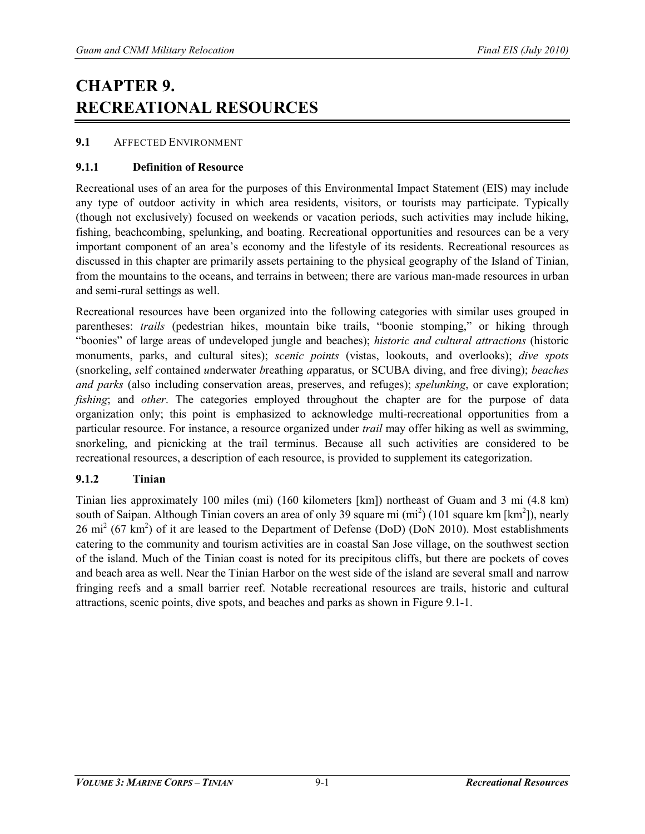# **CHAPTER 9. RECREATIONAL RESOURCES**

## **9.1** AFFECTED ENVIRONMENT

## **9.1.1 Definition of Resource**

Recreational uses of an area for the purposes of this Environmental Impact Statement (EIS) may include any type of outdoor activity in which area residents, visitors, or tourists may participate. Typically (though not exclusively) focused on weekends or vacation periods, such activities may include hiking, fishing, beachcombing, spelunking, and boating. Recreational opportunities and resources can be a very important component of an area's economy and the lifestyle of its residents. Recreational resources as discussed in this chapter are primarily assets pertaining to the physical geography of the Island of Tinian, from the mountains to the oceans, and terrains in between; there are various man-made resources in urban and semi-rural settings as well.

Recreational resources have been organized into the following categories with similar uses grouped in parentheses: *trails* (pedestrian hikes, mountain bike trails, "boonie stomping," or hiking through "boonies" of large areas of undeveloped jungle and beaches); *historic and cultural attractions* (historic monuments, parks, and cultural sites); *scenic points* (vistas, lookouts, and overlooks); *dive spots* (snorkeling, *s*elf *c*ontained *u*nderwater *b*reathing *a*pparatus, or SCUBA diving, and free diving); *beaches and parks* (also including conservation areas, preserves, and refuges); *spelunking*, or cave exploration; *fishing*; and *other*. The categories employed throughout the chapter are for the purpose of data organization only; this point is emphasized to acknowledge multi-recreational opportunities from a particular resource. For instance, a resource organized under *trail* may offer hiking as well as swimming, snorkeling, and picnicking at the trail terminus. Because all such activities are considered to be recreational resources, a description of each resource, is provided to supplement its categorization.

## **9.1.2 Tinian**

Tinian lies approximately 100 miles (mi) (160 kilometers [km]) northeast of Guam and 3 mi (4.8 km) south of Saipan. Although Tinian covers an area of only 39 square mi  $(\text{mi}^2)$  (101 square km [km<sup>2</sup>]), nearly  $26 \text{ mi}^2 (67 \text{ km}^2)$  of it are leased to the Department of Defense (DoD) (DoN 2010). Most establishments catering to the community and tourism activities are in coastal San Jose village, on the southwest section of the island. Much of the Tinian coast is noted for its precipitous cliffs, but there are pockets of coves and beach area as well. Near the Tinian Harbor on the west side of the island are several small and narrow fringing reefs and a small barrier reef. Notable recreational resources are trails, historic and cultural attractions, scenic points, dive spots, and beaches and parks as shown in Figure 9.1-1.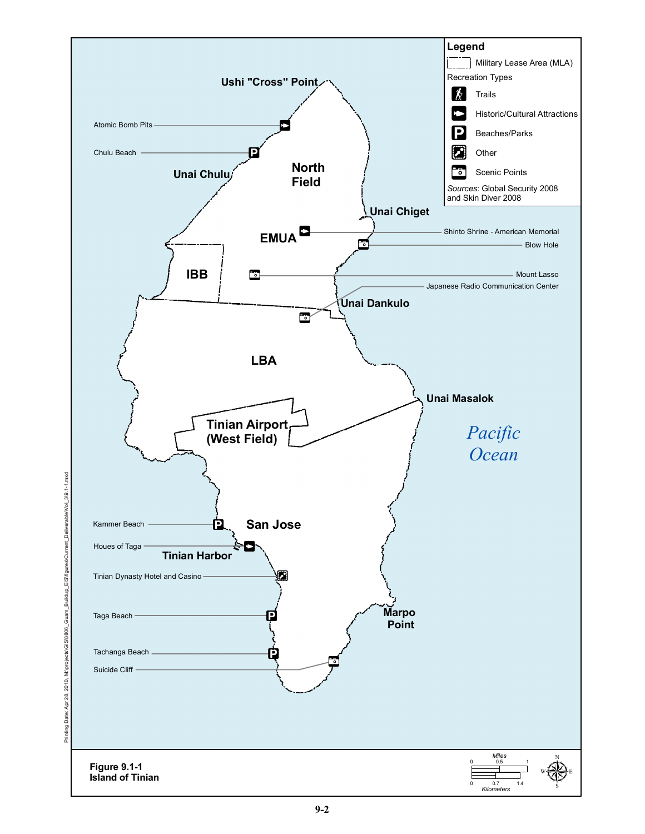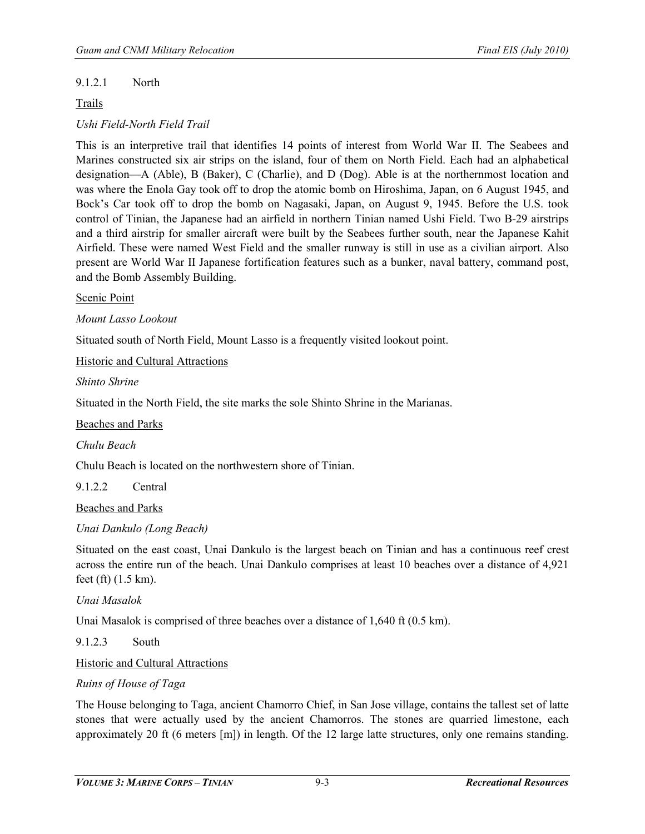## 9.1.2.1 North

## Trails

## *Ushi Field-North Field Trail*

This is an interpretive trail that identifies 14 points of interest from World War II. The Seabees and Marines constructed six air strips on the island, four of them on North Field. Each had an alphabetical designation—A (Able), B (Baker), C (Charlie), and D (Dog). Able is at the northernmost location and was where the Enola Gay took off to drop the atomic bomb on Hiroshima, Japan, on 6 August 1945, and Bock's Car took off to drop the bomb on Nagasaki, Japan, on August 9, 1945. Before the U.S. took control of Tinian, the Japanese had an airfield in northern Tinian named Ushi Field. Two B-29 airstrips and a third airstrip for smaller aircraft were built by the Seabees further south, near the Japanese Kahit Airfield. These were named West Field and the smaller runway is still in use as a civilian airport. Also present are World War II Japanese fortification features such as a bunker, naval battery, command post, and the Bomb Assembly Building.

#### Scenic Point

*Mount Lasso Lookout* 

Situated south of North Field, Mount Lasso is a frequently visited lookout point.

Historic and Cultural Attractions

*Shinto Shrine* 

Situated in the North Field, the site marks the sole Shinto Shrine in the Marianas.

Beaches and Parks

*Chulu Beach* 

Chulu Beach is located on the northwestern shore of Tinian.

9.1.2.2 Central

Beaches and Parks

#### *Unai Dankulo (Long Beach)*

Situated on the east coast, Unai Dankulo is the largest beach on Tinian and has a continuous reef crest across the entire run of the beach. Unai Dankulo comprises at least 10 beaches over a distance of 4,921 feet (ft) (1.5 km).

#### *Unai Masalok*

Unai Masalok is comprised of three beaches over a distance of 1,640 ft (0.5 km).

9.1.2.3 South

Historic and Cultural Attractions

#### *Ruins of House of Taga*

The House belonging to Taga, ancient Chamorro Chief, in San Jose village, contains the tallest set of latte stones that were actually used by the ancient Chamorros. The stones are quarried limestone, each approximately 20 ft (6 meters [m]) in length. Of the 12 large latte structures, only one remains standing.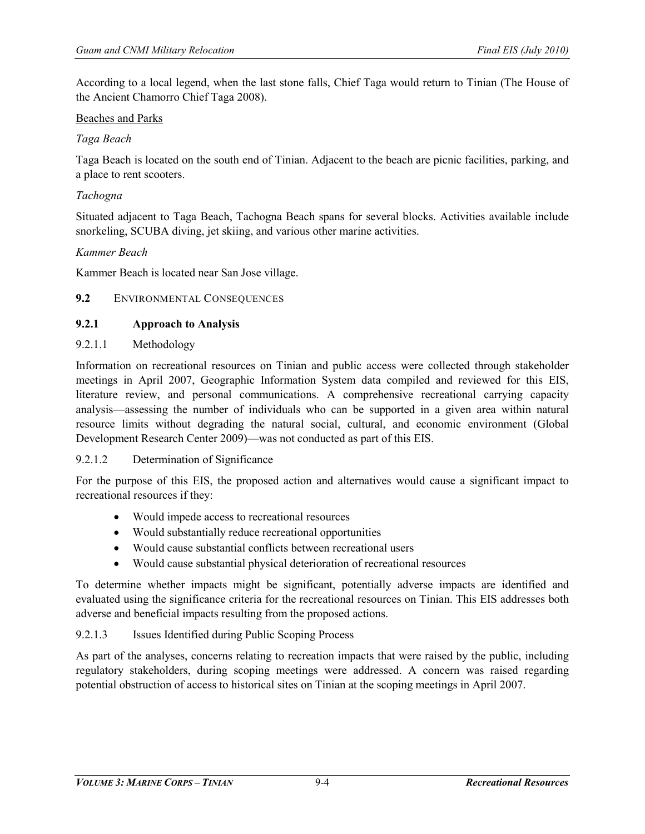According to a local legend, when the last stone falls, Chief Taga would return to Tinian (The House of the Ancient Chamorro Chief Taga 2008).

## Beaches and Parks

## *Taga Beach*

Taga Beach is located on the south end of Tinian. Adjacent to the beach are picnic facilities, parking, and a place to rent scooters.

#### *Tachogna*

Situated adjacent to Taga Beach, Tachogna Beach spans for several blocks. Activities available include snorkeling, SCUBA diving, jet skiing, and various other marine activities.

#### *Kammer Beach*

Kammer Beach is located near San Jose village.

#### **9.2** ENVIRONMENTAL CONSEQUENCES

#### **9.2.1 Approach to Analysis**

## 9.2.1.1 Methodology

Information on recreational resources on Tinian and public access were collected through stakeholder meetings in April 2007, Geographic Information System data compiled and reviewed for this EIS, literature review, and personal communications. A comprehensive recreational carrying capacity analysis—assessing the number of individuals who can be supported in a given area within natural resource limits without degrading the natural social, cultural, and economic environment (Global Development Research Center 2009)—was not conducted as part of this EIS.

## 9.2.1.2 Determination of Significance

For the purpose of this EIS, the proposed action and alternatives would cause a significant impact to recreational resources if they:

- Would impede access to recreational resources
- Would substantially reduce recreational opportunities
- Would cause substantial conflicts between recreational users
- Would cause substantial physical deterioration of recreational resources

To determine whether impacts might be significant, potentially adverse impacts are identified and evaluated using the significance criteria for the recreational resources on Tinian. This EIS addresses both adverse and beneficial impacts resulting from the proposed actions.

## 9.2.1.3 Issues Identified during Public Scoping Process

As part of the analyses, concerns relating to recreation impacts that were raised by the public, including regulatory stakeholders, during scoping meetings were addressed. A concern was raised regarding potential obstruction of access to historical sites on Tinian at the scoping meetings in April 2007.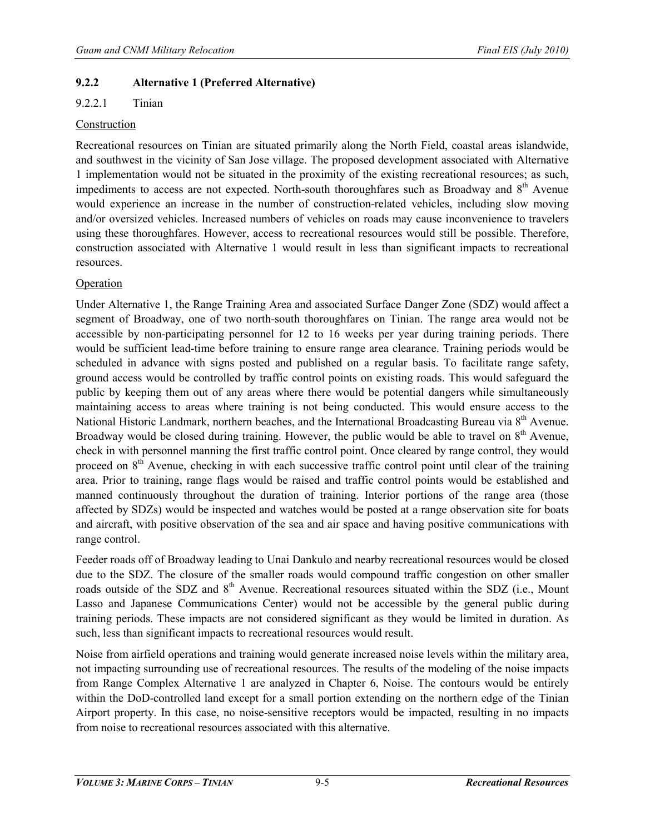## **9.2.2 Alternative 1 (Preferred Alternative)**

## 9.2.2.1 Tinian

#### Construction

Recreational resources on Tinian are situated primarily along the North Field, coastal areas islandwide, and southwest in the vicinity of San Jose village. The proposed development associated with Alternative 1 implementation would not be situated in the proximity of the existing recreational resources; as such, impediments to access are not expected. North-south thoroughfares such as Broadway and 8<sup>th</sup> Avenue would experience an increase in the number of construction-related vehicles, including slow moving and/or oversized vehicles. Increased numbers of vehicles on roads may cause inconvenience to travelers using these thoroughfares. However, access to recreational resources would still be possible. Therefore, construction associated with Alternative 1 would result in less than significant impacts to recreational resources.

## Operation

Under Alternative 1, the Range Training Area and associated Surface Danger Zone (SDZ) would affect a segment of Broadway, one of two north-south thoroughfares on Tinian. The range area would not be accessible by non-participating personnel for 12 to 16 weeks per year during training periods. There would be sufficient lead-time before training to ensure range area clearance. Training periods would be scheduled in advance with signs posted and published on a regular basis. To facilitate range safety, ground access would be controlled by traffic control points on existing roads. This would safeguard the public by keeping them out of any areas where there would be potential dangers while simultaneously maintaining access to areas where training is not being conducted. This would ensure access to the National Historic Landmark, northern beaches, and the International Broadcasting Bureau via 8<sup>th</sup> Avenue. Broadway would be closed during training. However, the public would be able to travel on  $8<sup>th</sup>$  Avenue. check in with personnel manning the first traffic control point. Once cleared by range control, they would proceed on  $8<sup>th</sup>$  Avenue, checking in with each successive traffic control point until clear of the training area. Prior to training, range flags would be raised and traffic control points would be established and manned continuously throughout the duration of training. Interior portions of the range area (those affected by SDZs) would be inspected and watches would be posted at a range observation site for boats and aircraft, with positive observation of the sea and air space and having positive communications with range control.

Feeder roads off of Broadway leading to Unai Dankulo and nearby recreational resources would be closed due to the SDZ. The closure of the smaller roads would compound traffic congestion on other smaller roads outside of the SDZ and 8<sup>th</sup> Avenue. Recreational resources situated within the SDZ (i.e., Mount Lasso and Japanese Communications Center) would not be accessible by the general public during training periods. These impacts are not considered significant as they would be limited in duration. As such, less than significant impacts to recreational resources would result.

Noise from airfield operations and training would generate increased noise levels within the military area, not impacting surrounding use of recreational resources. The results of the modeling of the noise impacts from Range Complex Alternative 1 are analyzed in Chapter 6, Noise. The contours would be entirely within the DoD-controlled land except for a small portion extending on the northern edge of the Tinian Airport property. In this case, no noise-sensitive receptors would be impacted, resulting in no impacts from noise to recreational resources associated with this alternative.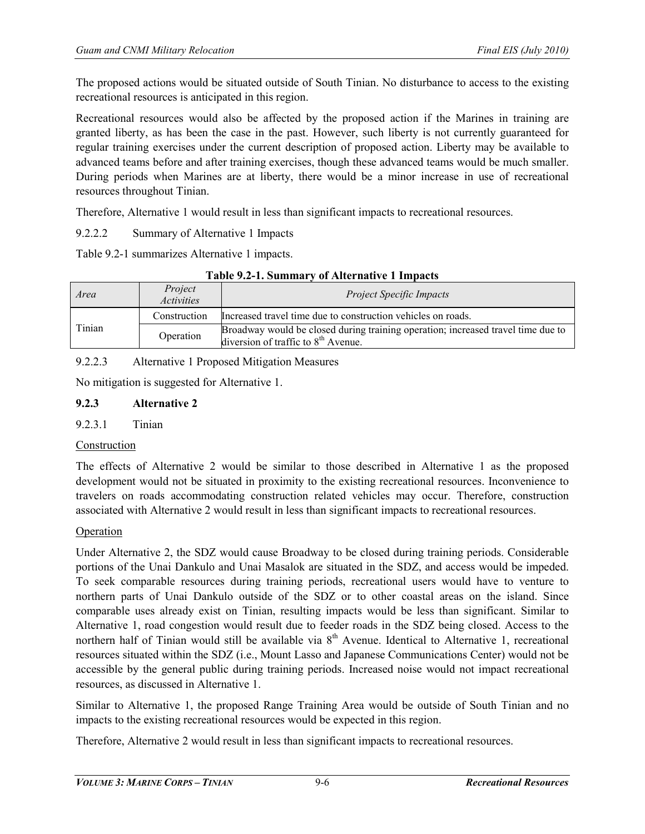The proposed actions would be situated outside of South Tinian. No disturbance to access to the existing recreational resources is anticipated in this region.

Recreational resources would also be affected by the proposed action if the Marines in training are granted liberty, as has been the case in the past. However, such liberty is not currently guaranteed for regular training exercises under the current description of proposed action. Liberty may be available to advanced teams before and after training exercises, though these advanced teams would be much smaller. During periods when Marines are at liberty, there would be a minor increase in use of recreational resources throughout Tinian.

Therefore, Alternative 1 would result in less than significant impacts to recreational resources.

9.2.2.2 Summary of Alternative 1 Impacts

Table 9.2-1 summarizes Alternative 1 impacts.

| Area   | Project<br><i>Activities</i> | <b>Project Specific Impacts</b>                                                                                           |  |
|--------|------------------------------|---------------------------------------------------------------------------------------------------------------------------|--|
|        | Construction                 | Increased travel time due to construction vehicles on roads.                                                              |  |
| Tinian | Operation                    | Broadway would be closed during training operation; increased travel time due to<br>diversion of traffic to $8th$ Avenue. |  |

9.2.2.3 Alternative 1 Proposed Mitigation Measures

No mitigation is suggested for Alternative 1.

#### **9.2.3 Alternative 2**

## 9.2.3.1 Tinian

## Construction

The effects of Alternative 2 would be similar to those described in Alternative 1 as the proposed development would not be situated in proximity to the existing recreational resources. Inconvenience to travelers on roads accommodating construction related vehicles may occur. Therefore, construction associated with Alternative 2 would result in less than significant impacts to recreational resources.

#### **Operation**

Under Alternative 2, the SDZ would cause Broadway to be closed during training periods. Considerable portions of the Unai Dankulo and Unai Masalok are situated in the SDZ, and access would be impeded. To seek comparable resources during training periods, recreational users would have to venture to northern parts of Unai Dankulo outside of the SDZ or to other coastal areas on the island. Since comparable uses already exist on Tinian, resulting impacts would be less than significant. Similar to Alternative 1, road congestion would result due to feeder roads in the SDZ being closed. Access to the northern half of Tinian would still be available via  $8<sup>th</sup>$  Avenue. Identical to Alternative 1, recreational resources situated within the SDZ (i.e., Mount Lasso and Japanese Communications Center) would not be accessible by the general public during training periods. Increased noise would not impact recreational resources, as discussed in Alternative 1.

Similar to Alternative 1, the proposed Range Training Area would be outside of South Tinian and no impacts to the existing recreational resources would be expected in this region.

Therefore, Alternative 2 would result in less than significant impacts to recreational resources.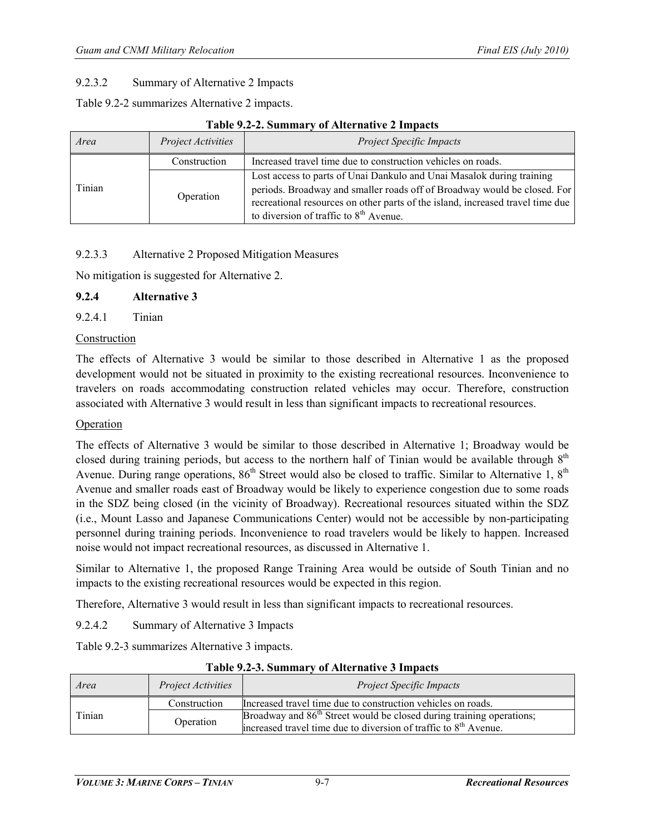## 9.2.3.2 Summary of Alternative 2 Impacts

Table 9.2-2 summarizes Alternative 2 impacts.

| Area   | Project Activities | <b>Project Specific Impacts</b>                                                                                                                                                                                                                                                 |  |
|--------|--------------------|---------------------------------------------------------------------------------------------------------------------------------------------------------------------------------------------------------------------------------------------------------------------------------|--|
|        | Construction       | Increased travel time due to construction vehicles on roads.                                                                                                                                                                                                                    |  |
| Tinian | Operation          | Lost access to parts of Unai Dankulo and Unai Masalok during training<br>periods. Broadway and smaller roads off of Broadway would be closed. For<br>recreational resources on other parts of the island, increased travel time due<br>to diversion of traffic to $8th$ Avenue. |  |

#### **Table 9.2-2. Summary of Alternative 2 Impacts**

# 9.2.3.3 Alternative 2 Proposed Mitigation Measures

No mitigation is suggested for Alternative 2.

## **9.2.4 Alternative 3**

9.2.4.1 Tinian

#### Construction

The effects of Alternative 3 would be similar to those described in Alternative 1 as the proposed development would not be situated in proximity to the existing recreational resources. Inconvenience to travelers on roads accommodating construction related vehicles may occur. Therefore, construction associated with Alternative 3 would result in less than significant impacts to recreational resources.

#### Operation

The effects of Alternative 3 would be similar to those described in Alternative 1; Broadway would be closed during training periods, but access to the northern half of Tinian would be available through  $8<sup>th</sup>$ Avenue. During range operations,  $86<sup>th</sup>$  Street would also be closed to traffic. Similar to Alternative 1,  $8<sup>th</sup>$ Avenue and smaller roads east of Broadway would be likely to experience congestion due to some roads in the SDZ being closed (in the vicinity of Broadway). Recreational resources situated within the SDZ (i.e., Mount Lasso and Japanese Communications Center) would not be accessible by non-participating personnel during training periods. Inconvenience to road travelers would be likely to happen. Increased noise would not impact recreational resources, as discussed in Alternative 1.

Similar to Alternative 1, the proposed Range Training Area would be outside of South Tinian and no impacts to the existing recreational resources would be expected in this region.

Therefore, Alternative 3 would result in less than significant impacts to recreational resources.

9.2.4.2 Summary of Alternative 3 Impacts

Table 9.2-3 summarizes Alternative 3 impacts.

| Area   | <i>Project Activities</i> | <b>Project Specific Impacts</b>                                                  |  |
|--------|---------------------------|----------------------------------------------------------------------------------|--|
|        | Construction              | Increased travel time due to construction vehicles on roads.                     |  |
| Tinian | Operation                 | Broadway and 86 <sup>th</sup> Street would be closed during training operations; |  |
|        |                           | increased travel time due to diversion of traffic to $8th$ Avenue.               |  |

#### **Table 9.2-3. Summary of Alternative 3 Impacts**